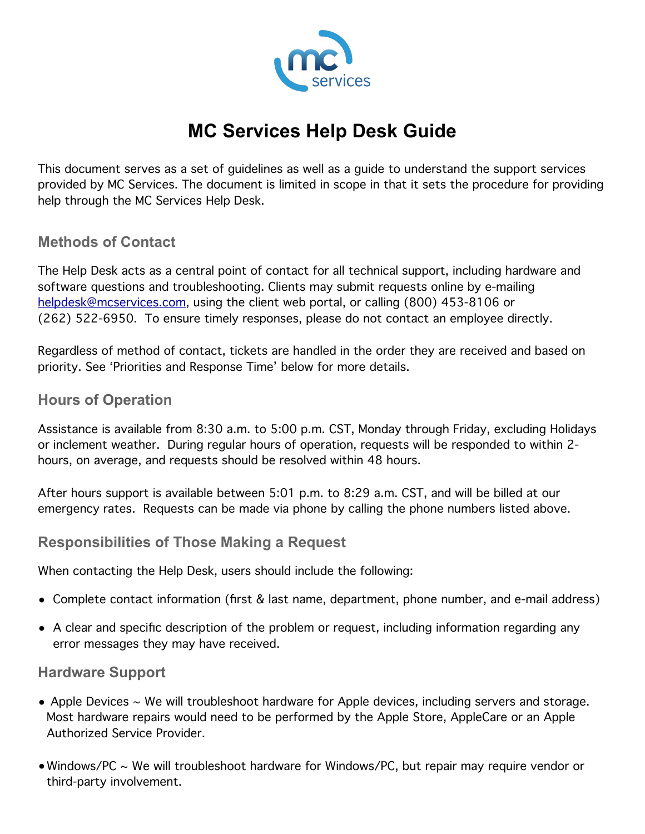

# **MC Services Help Desk Guide**

This document serves as a set of guidelines as well as a guide to understand the support services provided by MC Services. The document is limited in scope in that it sets the procedure for providing help through the MC Services Help Desk.

#### **Methods of Contact**

The Help Desk acts as a central point of contact for all technical support, including hardware and software questions and troubleshooting. Clients may submit requests online by e-mailing [helpdesk@mcservices.com,](mailto:helpdesk@mcservices.com) using the client web portal, or calling (800) 453-8106 or (262) 522-6950. To ensure timely responses, please do not contact an employee directly.

Regardless of method of contact, tickets are handled in the order they are received and based on priority. See 'Priorities and Response Time' below for more details.

#### **Hours of Operation**

Assistance is available from 8:30 a.m. to 5:00 p.m. CST, Monday through Friday, excluding Holidays or inclement weather. During regular hours of operation, requests will be responded to within 2 hours, on average, and requests should be resolved within 48 hours.

After hours support is available between 5:01 p.m. to 8:29 a.m. CST, and will be billed at our emergency rates. Requests can be made via phone by calling the phone numbers listed above.

#### **Responsibilities of Those Making a Request**

When contacting the Help Desk, users should include the following:

- Complete contact information (first & last name, department, phone number, and e-mail address)
- A clear and specific description of the problem or request, including information regarding any error messages they may have received.

#### **Hardware Support**

- Apple Devices  $\sim$  We will troubleshoot hardware for Apple devices, including servers and storage. Most hardware repairs would need to be performed by the Apple Store, AppleCare or an Apple Authorized Service Provider.
- •Windows/PC ~ We will troubleshoot hardware for Windows/PC, but repair may require vendor or third-party involvement.